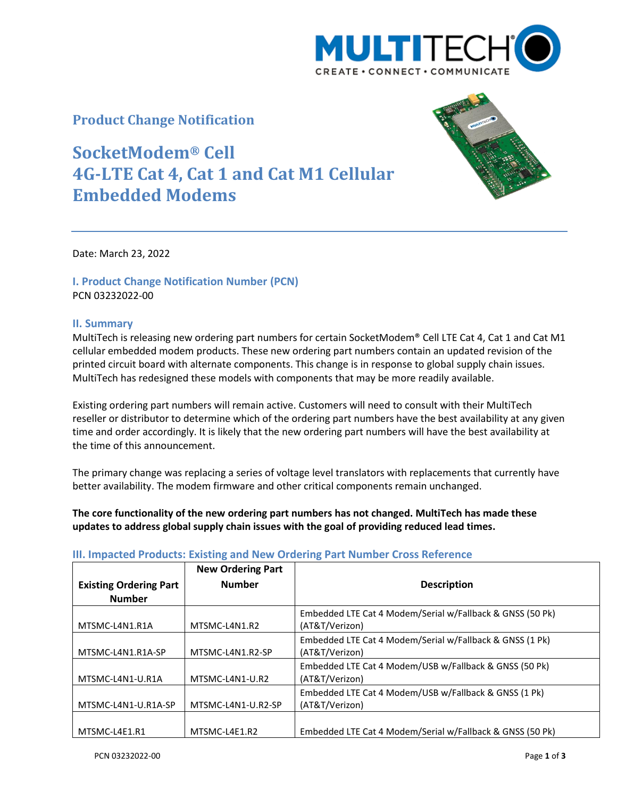

## **Product Change Notification**

# **SocketModem® Cell 4G-LTE Cat 4, Cat 1 and Cat M1 Cellular Embedded Modems**



Date: March 23, 2022

### **I. Product Change Notification Number (PCN)** PCN 03232022-00

#### **II. Summary**

MultiTech is releasing new ordering part numbers for certain SocketModem® Cell LTE Cat 4, Cat 1 and Cat M1 cellular embedded modem products. These new ordering part numbers contain an updated revision of the printed circuit board with alternate components. This change is in response to global supply chain issues. MultiTech has redesigned these models with components that may be more readily available.

Existing ordering part numbers will remain active. Customers will need to consult with their MultiTech reseller or distributor to determine which of the ordering part numbers have the best availability at any given time and order accordingly. It is likely that the new ordering part numbers will have the best availability at the time of this announcement.

The primary change was replacing a series of voltage level translators with replacements that currently have better availability. The modem firmware and other critical components remain unchanged.

**The core functionality of the new ordering part numbers has not changed. MultiTech has made these updates to address global supply chain issues with the goal of providing reduced lead times.**

|                                                | <b>New Ordering Part</b> |                                                                             |
|------------------------------------------------|--------------------------|-----------------------------------------------------------------------------|
| <b>Existing Ordering Part</b><br><b>Number</b> | <b>Number</b>            | <b>Description</b>                                                          |
| MTSMC-L4N1.R1A                                 | MTSMC-L4N1.R2            | Embedded LTE Cat 4 Modem/Serial w/Fallback & GNSS (50 Pk)<br>(AT&T/Verizon) |
| MTSMC-L4N1.R1A-SP                              | MTSMC-L4N1.R2-SP         | Embedded LTE Cat 4 Modem/Serial w/Fallback & GNSS (1 Pk)<br>(AT&T/Verizon)  |
| MTSMC-L4N1-U.R1A                               | MTSMC-L4N1-U.R2          | Embedded LTE Cat 4 Modem/USB w/Fallback & GNSS (50 Pk)<br>(AT&T/Verizon)    |
| MTSMC-L4N1-U.R1A-SP                            | MTSMC-L4N1-U.R2-SP       | Embedded LTE Cat 4 Modem/USB w/Fallback & GNSS (1 Pk)<br>(AT&T/Verizon)     |
| MTSMC-L4E1.R1                                  | MTSMC-L4E1.R2            | Embedded LTE Cat 4 Modem/Serial w/Fallback & GNSS (50 Pk)                   |

#### **III. Impacted Products: Existing and New Ordering Part Number Cross Reference**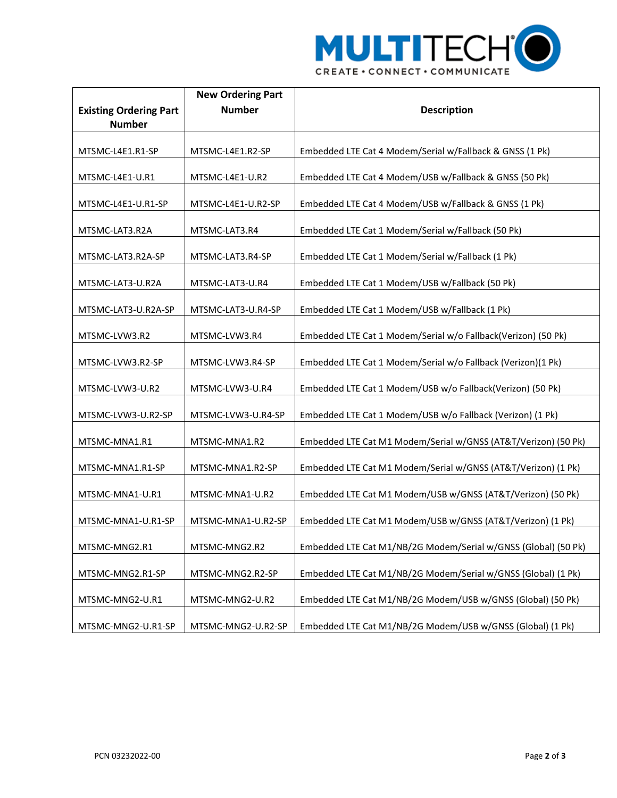

|                               | <b>New Ordering Part</b> |                                                                |
|-------------------------------|--------------------------|----------------------------------------------------------------|
| <b>Existing Ordering Part</b> | <b>Number</b>            | <b>Description</b>                                             |
| <b>Number</b>                 |                          |                                                                |
| MTSMC-L4E1.R1-SP              | MTSMC-L4E1.R2-SP         | Embedded LTE Cat 4 Modem/Serial w/Fallback & GNSS (1 Pk)       |
| MTSMC-L4E1-U.R1               | MTSMC-L4E1-U.R2          | Embedded LTE Cat 4 Modem/USB w/Fallback & GNSS (50 Pk)         |
| MTSMC-L4E1-U.R1-SP            | MTSMC-L4E1-U.R2-SP       | Embedded LTE Cat 4 Modem/USB w/Fallback & GNSS (1 Pk)          |
| MTSMC-LAT3.R2A                | MTSMC-LAT3.R4            | Embedded LTE Cat 1 Modem/Serial w/Fallback (50 Pk)             |
| MTSMC-LAT3.R2A-SP             | MTSMC-LAT3.R4-SP         | Embedded LTE Cat 1 Modem/Serial w/Fallback (1 Pk)              |
| MTSMC-LAT3-U.R2A              | MTSMC-LAT3-U.R4          | Embedded LTE Cat 1 Modem/USB w/Fallback (50 Pk)                |
| MTSMC-LAT3-U.R2A-SP           | MTSMC-LAT3-U.R4-SP       | Embedded LTE Cat 1 Modem/USB w/Fallback (1 Pk)                 |
| MTSMC-LVW3.R2                 | MTSMC-LVW3.R4            | Embedded LTE Cat 1 Modem/Serial w/o Fallback(Verizon) (50 Pk)  |
| MTSMC-LVW3.R2-SP              | MTSMC-LVW3.R4-SP         | Embedded LTE Cat 1 Modem/Serial w/o Fallback (Verizon)(1 Pk)   |
| MTSMC-LVW3-U.R2               | MTSMC-LVW3-U.R4          | Embedded LTE Cat 1 Modem/USB w/o Fallback(Verizon) (50 Pk)     |
| MTSMC-LVW3-U.R2-SP            | MTSMC-LVW3-U.R4-SP       | Embedded LTE Cat 1 Modem/USB w/o Fallback (Verizon) (1 Pk)     |
| MTSMC-MNA1.R1                 | MTSMC-MNA1.R2            | Embedded LTE Cat M1 Modem/Serial w/GNSS (AT&T/Verizon) (50 Pk) |
| MTSMC-MNA1.R1-SP              | MTSMC-MNA1.R2-SP         | Embedded LTE Cat M1 Modem/Serial w/GNSS (AT&T/Verizon) (1 Pk)  |
| MTSMC-MNA1-U.R1               | MTSMC-MNA1-U.R2          | Embedded LTE Cat M1 Modem/USB w/GNSS (AT&T/Verizon) (50 Pk)    |
| MTSMC-MNA1-U.R1-SP            | MTSMC-MNA1-U.R2-SP       | Embedded LTE Cat M1 Modem/USB w/GNSS (AT&T/Verizon) (1 Pk)     |
| MTSMC-MNG2.R1                 | MTSMC-MNG2.R2            | Embedded LTE Cat M1/NB/2G Modem/Serial w/GNSS (Global) (50 Pk) |
| MTSMC-MNG2.R1-SP              | MTSMC-MNG2.R2-SP         | Embedded LTE Cat M1/NB/2G Modem/Serial w/GNSS (Global) (1 Pk)  |
| MTSMC-MNG2-U.R1               | MTSMC-MNG2-U.R2          | Embedded LTE Cat M1/NB/2G Modem/USB w/GNSS (Global) (50 Pk)    |
| MTSMC-MNG2-U.R1-SP            | MTSMC-MNG2-U.R2-SP       | Embedded LTE Cat M1/NB/2G Modem/USB w/GNSS (Global) (1 Pk)     |